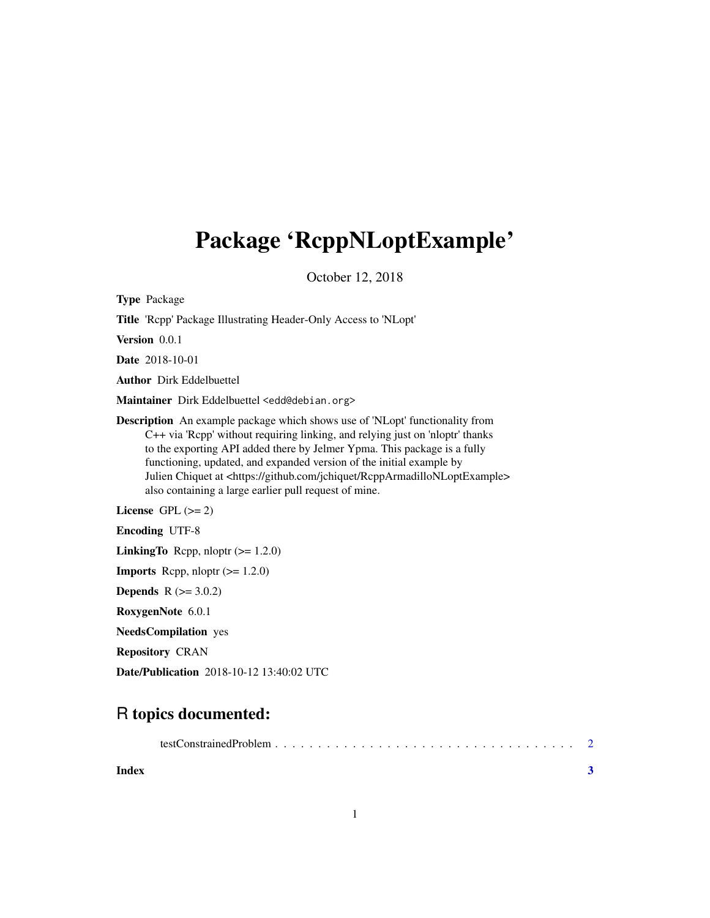## Package 'RcppNLoptExample'

October 12, 2018

Type Package

Title 'Rcpp' Package Illustrating Header-Only Access to 'NLopt'

Version 0.0.1

Date 2018-10-01

Author Dirk Eddelbuettel

Maintainer Dirk Eddelbuettel <edd@debian.org>

Description An example package which shows use of 'NLopt' functionality from C++ via 'Rcpp' without requiring linking, and relying just on 'nloptr' thanks to the exporting API added there by Jelmer Ypma. This package is a fully functioning, updated, and expanded version of the initial example by Julien Chiquet at <https://github.com/jchiquet/RcppArmadilloNLoptExample> also containing a large earlier pull request of mine.

License GPL  $(>= 2)$ 

Encoding UTF-8

**LinkingTo** Rcpp, nloptr  $(>= 1.2.0)$ 

**Imports** Rcpp, nloptr  $(>= 1.2.0)$ 

**Depends**  $R$  ( $>= 3.0.2$ )

RoxygenNote 6.0.1

NeedsCompilation yes

Repository CRAN

Date/Publication 2018-10-12 13:40:02 UTC

### R topics documented:

**Index** [3](#page-2-0)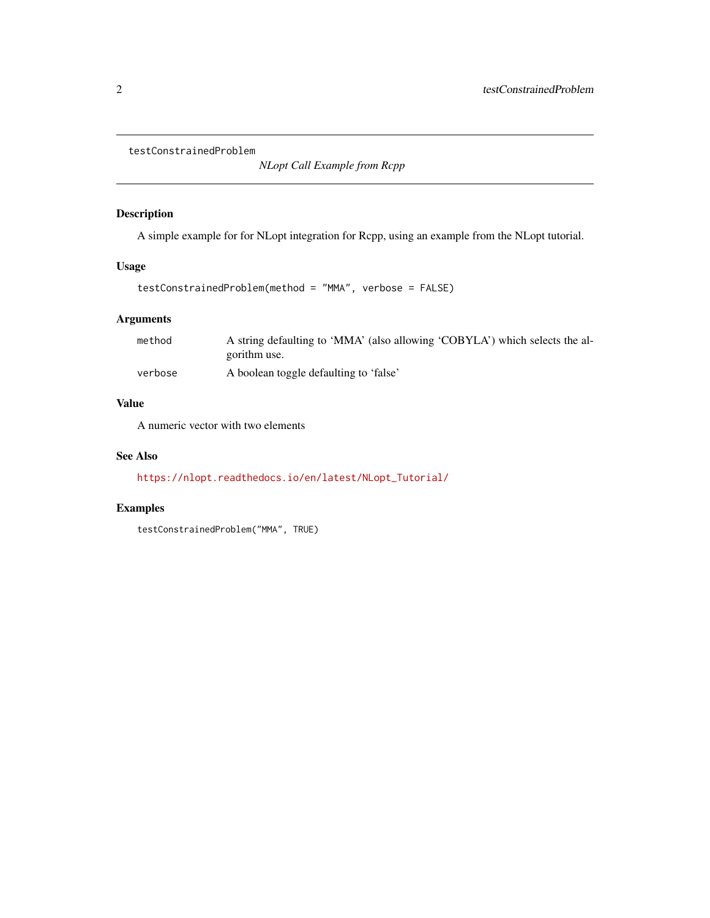<span id="page-1-0"></span>testConstrainedProblem

*NLopt Call Example from Rcpp*

#### Description

A simple example for for NLopt integration for Rcpp, using an example from the NLopt tutorial.

#### Usage

```
testConstrainedProblem(method = "MMA", verbose = FALSE)
```
#### Arguments

| method  | A string defaulting to 'MMA' (also allowing 'COBYLA') which selects the al- |
|---------|-----------------------------------------------------------------------------|
|         | gorithm use.                                                                |
| verbose | A boolean toggle defaulting to 'false'                                      |

#### Value

A numeric vector with two elements

#### See Also

[https://nlopt.readthedocs.io/en/latest/NLopt\\_Tutorial/](https://nlopt.readthedocs.io/en/latest/NLopt_Tutorial/)

#### Examples

testConstrainedProblem("MMA", TRUE)